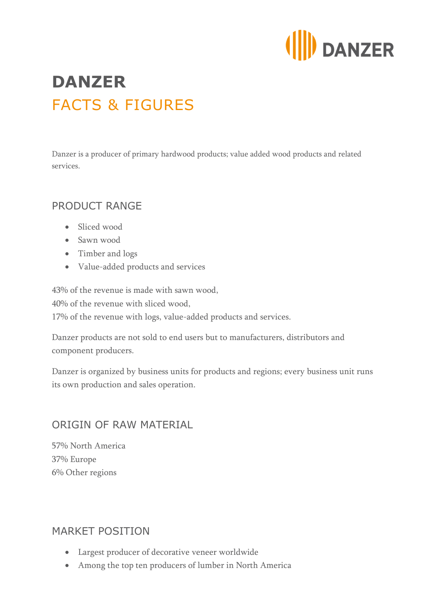

# **DANZER** FACTS & FIGURES

Danzer is a producer of primary hardwood products; value added wood products and related services.

## PRODUCT RANGE

- Sliced wood
- Sawn wood
- Timber and logs
- Value-added products and services

43% of the revenue is made with sawn wood, 40% of the revenue with sliced wood, 17% of the revenue with logs, value-added products and services.

Danzer products are not sold to end users but to manufacturers, distributors and component producers.

Danzer is organized by business units for products and regions; every business unit runs its own production and sales operation.

#### ORIGIN OF RAW MATERIAL

57% North America 37% Europe 6% Other regions

## MARKET POSITION

- Largest producer of decorative veneer worldwide
- Among the top ten producers of lumber in North America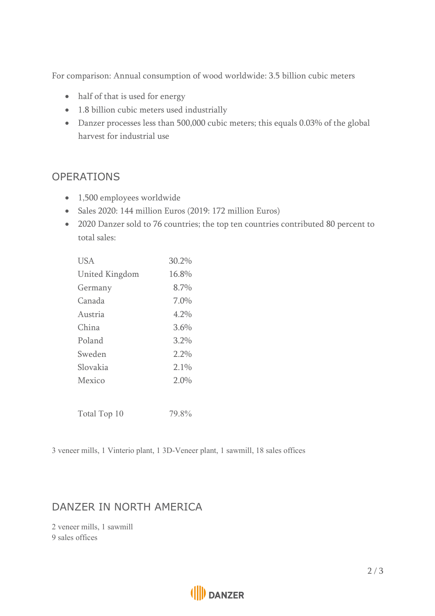For comparison: Annual consumption of wood worldwide: 3.5 billion cubic meters

- half of that is used for energy
- 1.8 billion cubic meters used industrially
- Danzer processes less than 500,000 cubic meters; this equals 0.03% of the global harvest for industrial use

## OPERATIONS

- 1,500 employees worldwide
- Sales 2020: 144 million Euros (2019: 172 million Euros)
- 2020 Danzer sold to 76 countries; the top ten countries contributed 80 percent to total sales:

| <b>USA</b>     | 30.2% |
|----------------|-------|
| United Kingdom | 16.8% |
| Germany        | 8.7%  |
| Canada         | 7.0%  |
| Austria        | 4.2%  |
| China          | 3.6%  |
| Poland         | 3.2%  |
| Sweden         | 2.2%  |
| Slovakia       | 2.1%  |
| Mexico         | 2.0%  |
| Total Top 10   | 79.8% |

3 veneer mills, 1 Vinterio plant, 1 3D-Veneer plant, 1 sawmill, 18 sales offices

## DANZER IN NORTH AMERICA

2 veneer mills, 1 sawmill 9 sales offices